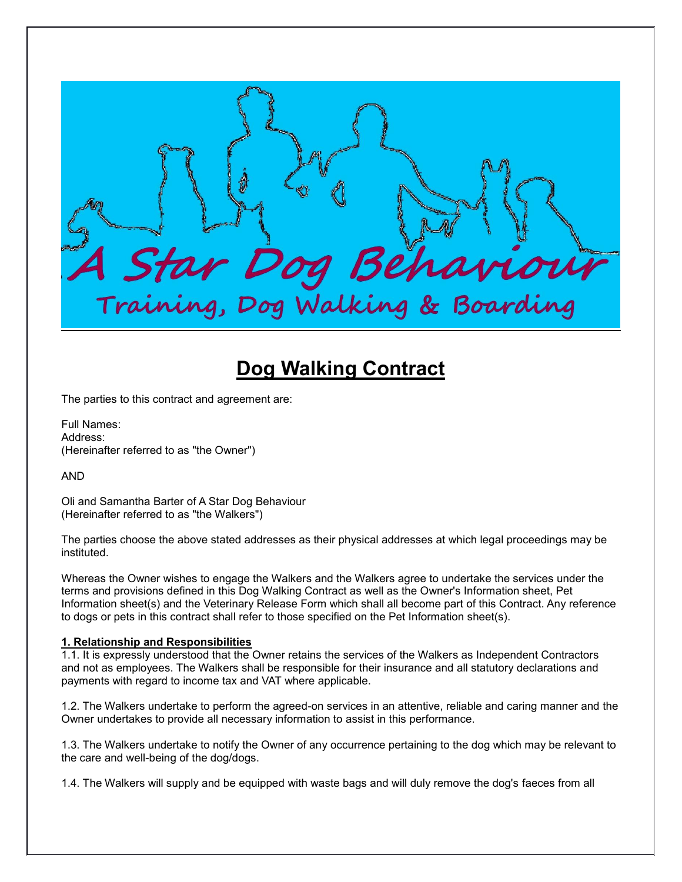**4 Star Dog Behaviour**<br>Training, Dog Walking & Boarding

# **Dog Walking Contract**

The parties to this contract and agreement are:

Full Names: Address: (Hereinafter referred to as "the Owner")

AND

Oli and Samantha Barter of A Star Dog Behaviour (Hereinafter referred to as "the Walkers")

The parties choose the above stated addresses as their physical addresses at which legal proceedings may be instituted.

Whereas the Owner wishes to engage the Walkers and the Walkers agree to undertake the services under the terms and provisions defined in this Dog Walking Contract as well as the Owner's Information sheet, Pet Information sheet(s) and the Veterinary Release Form which shall all become part of this Contract. Any reference to dogs or pets in this contract shall refer to those specified on the Pet Information sheet(s).

## **1. Relationship and Responsibilities**

1.1. It is expressly understood that the Owner retains the services of the Walkers as Independent Contractors and not as employees. The Walkers shall be responsible for their insurance and all statutory declarations and payments with regard to income tax and VAT where applicable.

1.2. The Walkers undertake to perform the agreed-on services in an attentive, reliable and caring manner and the Owner undertakes to provide all necessary information to assist in this performance.

1.3. The Walkers undertake to notify the Owner of any occurrence pertaining to the dog which may be relevant to the care and well-being of the dog/dogs.

1.4. The Walkers will supply and be equipped with waste bags and will duly remove the dog's faeces from all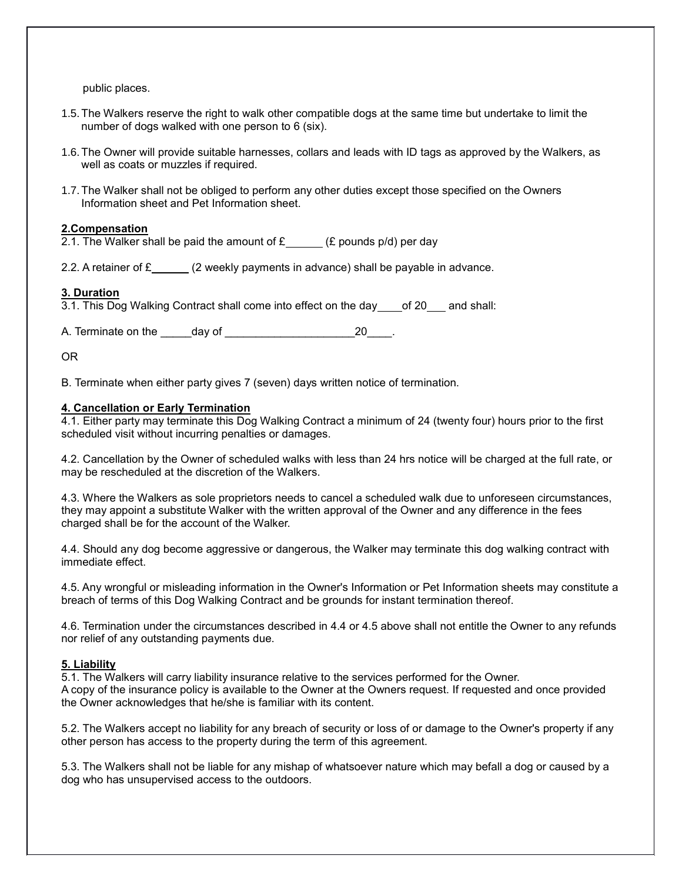public places.

- 1.5.The Walkers reserve the right to walk other compatible dogs at the same time but undertake to limit the number of dogs walked with one person to 6 (six).
- 1.6.The Owner will provide suitable harnesses, collars and leads with ID tags as approved by the Walkers, as well as coats or muzzles if required.
- 1.7.The Walker shall not be obliged to perform any other duties except those specified on the Owners Information sheet and Pet Information sheet.

## **2.Compensation**

2.1. The Walker shall be paid the amount of  $\mathbf{E}$  (£ pounds p/d) per day

2.2. A retainer of  $\mathbf{\pounds}$  (2 weekly payments in advance) shall be payable in advance.

## **3. Duration**

3.1. This Dog Walking Contract shall come into effect on the day \_\_\_\_ of 20 \_\_\_ and shall:

A. Terminate on the day of the control of the control of the control of the control of the control of the control of the control of the control of the control of the control of the control of the control of the control of

OR

B. Terminate when either party gives 7 (seven) days written notice of termination.

### **4. Cancellation or Early Termination**

4.1. Either party may terminate this Dog Walking Contract a minimum of 24 (twenty four) hours prior to the first scheduled visit without incurring penalties or damages.

4.2. Cancellation by the Owner of scheduled walks with less than 24 hrs notice will be charged at the full rate, or may be rescheduled at the discretion of the Walkers.

4.3. Where the Walkers as sole proprietors needs to cancel a scheduled walk due to unforeseen circumstances, they may appoint a substitute Walker with the written approval of the Owner and any difference in the fees charged shall be for the account of the Walker.

4.4. Should any dog become aggressive or dangerous, the Walker may terminate this dog walking contract with immediate effect.

4.5. Any wrongful or misleading information in the Owner's Information or Pet Information sheets may constitute a breach of terms of this Dog Walking Contract and be grounds for instant termination thereof.

4.6. Termination under the circumstances described in 4.4 or 4.5 above shall not entitle the Owner to any refunds nor relief of any outstanding payments due.

## **5. Liability**

5.1. The Walkers will carry liability insurance relative to the services performed for the Owner. A copy of the insurance policy is available to the Owner at the Owners request. If requested and once provided the Owner acknowledges that he/she is familiar with its content.

5.2. The Walkers accept no liability for any breach of security or loss of or damage to the Owner's property if any other person has access to the property during the term of this agreement.

5.3. The Walkers shall not be liable for any mishap of whatsoever nature which may befall a dog or caused by a dog who has unsupervised access to the outdoors.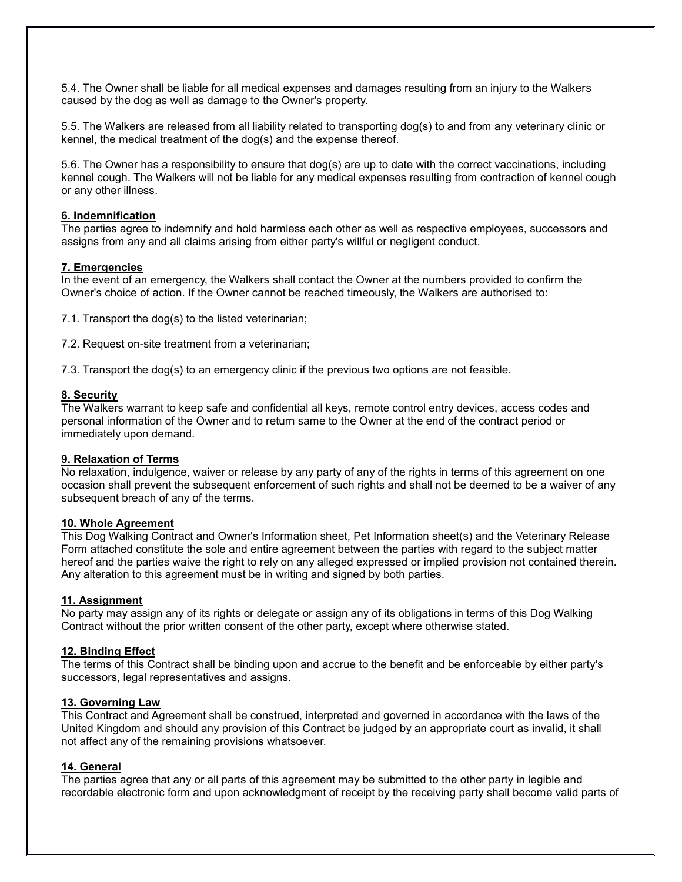5.4. The Owner shall be liable for all medical expenses and damages resulting from an injury to the Walkers caused by the dog as well as damage to the Owner's property.

5.5. The Walkers are released from all liability related to transporting dog(s) to and from any veterinary clinic or kennel, the medical treatment of the dog(s) and the expense thereof.

5.6. The Owner has a responsibility to ensure that dog(s) are up to date with the correct vaccinations, including kennel cough. The Walkers will not be liable for any medical expenses resulting from contraction of kennel cough or any other illness.

### **6. Indemnification**

The parties agree to indemnify and hold harmless each other as well as respective employees, successors and assigns from any and all claims arising from either party's willful or negligent conduct.

### **7. Emergencies**

In the event of an emergency, the Walkers shall contact the Owner at the numbers provided to confirm the Owner's choice of action. If the Owner cannot be reached timeously, the Walkers are authorised to:

7.1. Transport the dog(s) to the listed veterinarian;

7.2. Request on-site treatment from a veterinarian;

7.3. Transport the dog(s) to an emergency clinic if the previous two options are not feasible.

#### **8. Security**

The Walkers warrant to keep safe and confidential all keys, remote control entry devices, access codes and personal information of the Owner and to return same to the Owner at the end of the contract period or immediately upon demand.

## **9. Relaxation of Terms**

No relaxation, indulgence, waiver or release by any party of any of the rights in terms of this agreement on one occasion shall prevent the subsequent enforcement of such rights and shall not be deemed to be a waiver of any subsequent breach of any of the terms.

#### **10. Whole Agreement**

This Dog Walking Contract and Owner's Information sheet, Pet Information sheet(s) and the Veterinary Release Form attached constitute the sole and entire agreement between the parties with regard to the subject matter hereof and the parties waive the right to rely on any alleged expressed or implied provision not contained therein. Any alteration to this agreement must be in writing and signed by both parties.

#### **11. Assignment**

No party may assign any of its rights or delegate or assign any of its obligations in terms of this Dog Walking Contract without the prior written consent of the other party, except where otherwise stated.

#### **12. Binding Effect**

The terms of this Contract shall be binding upon and accrue to the benefit and be enforceable by either party's successors, legal representatives and assigns.

#### **13. Governing Law**

This Contract and Agreement shall be construed, interpreted and governed in accordance with the laws of the United Kingdom and should any provision of this Contract be judged by an appropriate court as invalid, it shall not affect any of the remaining provisions whatsoever.

#### **14. General**

The parties agree that any or all parts of this agreement may be submitted to the other party in legible and recordable electronic form and upon acknowledgment of receipt by the receiving party shall become valid parts of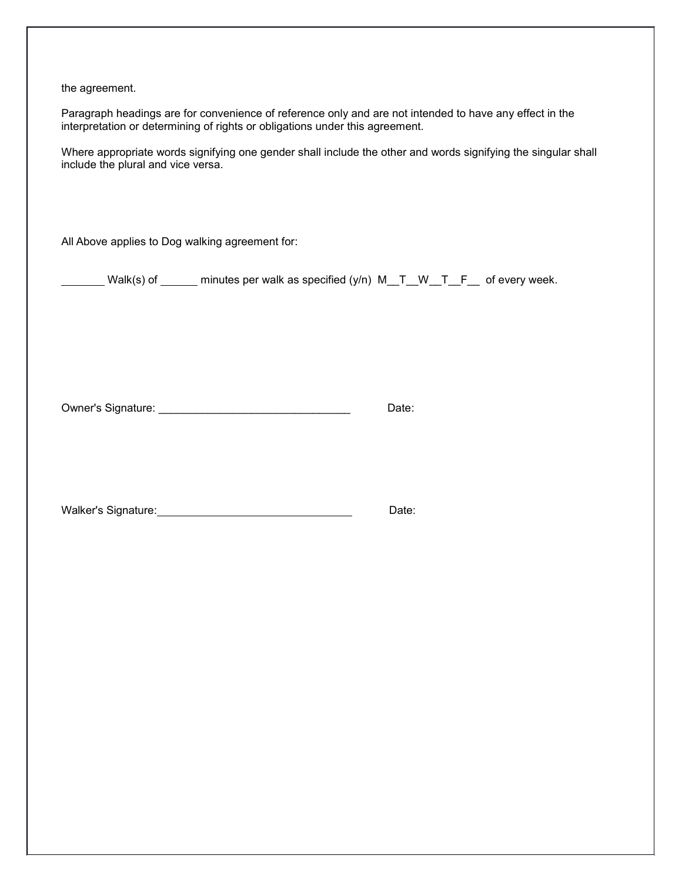the agreement.

Paragraph headings are for convenience of reference only and are not intended to have any effect in the interpretation or determining of rights or obligations under this agreement.

Where appropriate words signifying one gender shall include the other and words signifying the singular shall include the plural and vice versa.

All Above applies to Dog walking agreement for:

Walk(s) of \_\_\_\_\_ minutes per walk as specified (y/n) M\_T\_W\_T\_F\_ of every week.

Owner's Signature: \_\_\_\_\_\_\_\_\_\_\_\_\_\_\_\_\_\_\_\_\_\_\_\_\_\_\_\_\_\_\_ Date:

Walker's Signature: Manual Malker's Signature: Manual Malker's Signature: Date: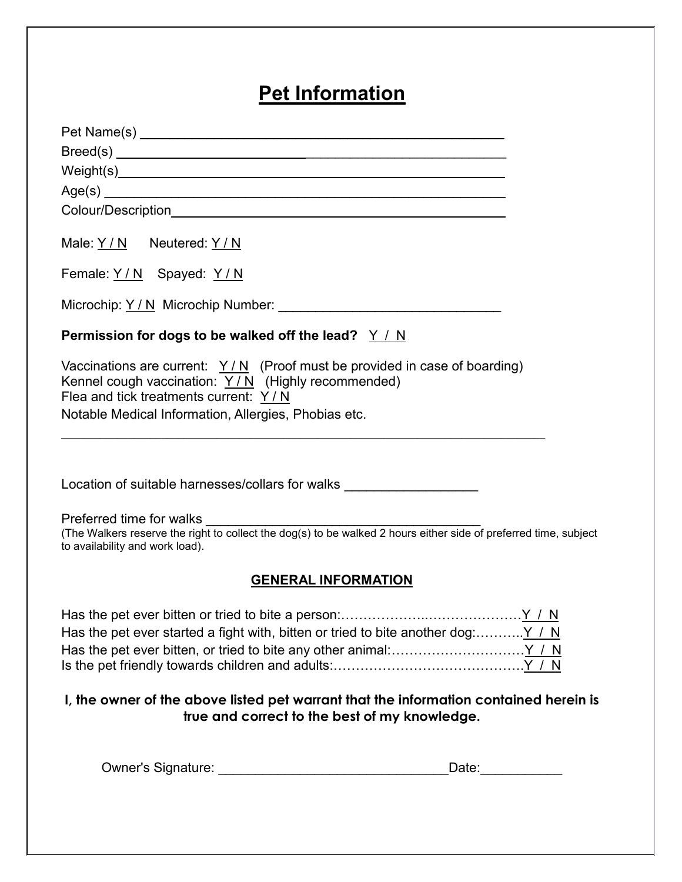# **Pet Information**

| Male: $Y/N$ Neutered: $Y/N$                                                                                                                                                                                                                                                                          |
|------------------------------------------------------------------------------------------------------------------------------------------------------------------------------------------------------------------------------------------------------------------------------------------------------|
| Female: Y/N Spayed: Y/N                                                                                                                                                                                                                                                                              |
|                                                                                                                                                                                                                                                                                                      |
| Permission for dogs to be walked off the lead? $Y / N$                                                                                                                                                                                                                                               |
| Vaccinations are current: $Y/N$ (Proof must be provided in case of boarding)<br>Kennel cough vaccination: $Y/N$ (Highly recommended)<br>Flea and tick treatments current: Y / N<br>Notable Medical Information, Allergies, Phobias etc.<br><u> 1980 - John Stein, Amerikaansk politiker (* 1918)</u> |
| Location of suitable harnesses/collars for walks _______________________________<br>Preferred time for walks                                                                                                                                                                                         |
| (The Walkers reserve the right to collect the dog(s) to be walked 2 hours either side of preferred time, subject<br>to availability and work load).                                                                                                                                                  |
| <b>GENERAL INFORMATION</b>                                                                                                                                                                                                                                                                           |
|                                                                                                                                                                                                                                                                                                      |
| I, the owner of the above listed pet warrant that the information contained herein is<br>true and correct to the best of my knowledge.                                                                                                                                                               |
| <b>Owner's Signature:</b><br>Date:                                                                                                                                                                                                                                                                   |